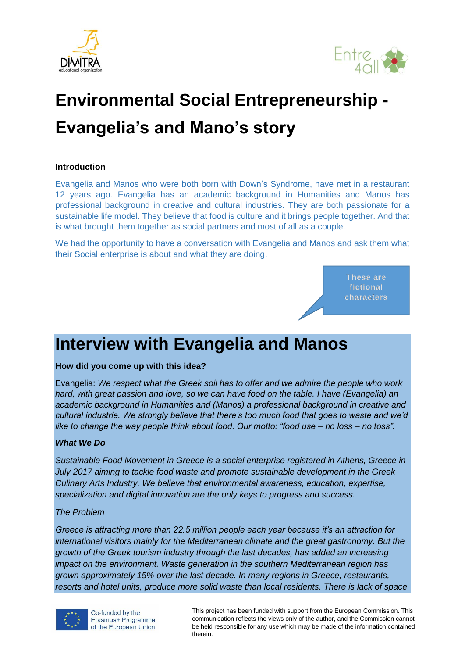



# **Environmental Social Entrepreneurship - Evangelia's and Mano's story**

#### **Introduction**

Evangelia and Manos who were both born with Down's Syndrome, have met in a restaurant 12 years ago. Evangelia has an academic background in Humanities and Manos has professional background in creative and cultural industries. They are both passionate for a sustainable life model. They believe that food is culture and it brings people together. And that is what brought them together as social partners and most of all as a couple.

We had the opportunity to have a conversation with Evangelia and Manos and ask them what their Social enterprise is about and what they are doing.

> **These are fictional characters**

### **Interview with Evangelia and Manos**

#### **How did you come up with this idea?**

Evangelia: *We respect what the Greek soil has to offer and we admire the people who work hard, with great passion and love, so we can have food on the table. I have (Evangelia) an academic background in Humanities and (Manos) a professional background in creative and cultural industrie. We strongly believe that there's too much food that goes to waste and we'd like to change the way people think about food. Our motto: "food use – no loss – no toss".*

#### *What We Do*

*Sustainable Food Movement in Greece is a social enterprise registered in Athens, Greece in July 2017 aiming to tackle food waste and promote sustainable development in the Greek Culinary Arts Industry. We believe that environmental awareness, education, expertise, specialization and digital innovation are the only keys to progress and success.*

#### *The Problem*

*Greece is attracting more than 22.5 million people each year because it's an attraction for international visitors mainly for the Mediterranean climate and the great gastronomy. But the growth of the Greek tourism industry through the last decades, has added an increasing impact on the environment. Waste generation in the southern Mediterranean region has grown approximately 15% over the last decade. In many regions in Greece, restaurants, resorts and hotel units, produce more solid waste than local residents. There is lack of space* 

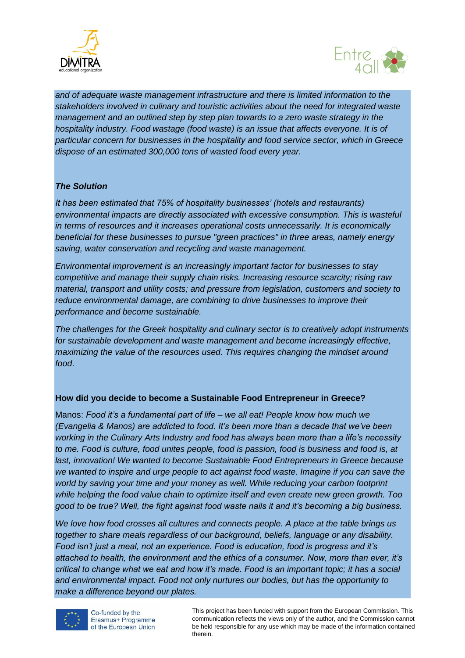



*and of adequate waste management infrastructure and there is limited information to the stakeholders involved in culinary and touristic activities about the need for integrated waste management and an outlined step by step plan towards to a zero waste strategy in the hospitality industry. Food wastage (food waste) is an issue that affects everyone. It is of particular concern for businesses in the hospitality and food service sector, which in Greece dispose of an estimated 300,000 tons of wasted food every year.*

#### *The Solution*

*It has been estimated that 75% of hospitality businesses' (hotels and restaurants) environmental impacts are directly associated with excessive consumption. This is wasteful in terms of resources and it increases operational costs unnecessarily. It is economically beneficial for these businesses to pursue "green practices" in three areas, namely energy saving, water conservation and recycling and waste management.*

*Environmental improvement is an increasingly important factor for businesses to stay competitive and manage their supply chain risks. Increasing resource scarcity; rising raw material, transport and utility costs; and pressure from legislation, customers and society to reduce environmental damage, are combining to drive businesses to improve their performance and become sustainable.*

*The challenges for the Greek hospitality and culinary sector is to creatively adopt instruments for sustainable development and waste management and become increasingly effective, maximizing the value of the resources used. This requires changing the mindset around food*.

#### **How did you decide to become a Sustainable Food Entrepreneur in Greece?**

Manos: *Food it's a fundamental part of life – we all eat! People know how much we (Evangelia & Manos) are addicted to food. It's been more than a decade that we've been working in the Culinary Arts Industry and food has always been more than a life's necessity to me. Food is culture, food unites people, food is passion, food is business and food is, at last, innovation! We wanted to become Sustainable Food Entrepreneurs in Greece because we wanted to inspire and urge people to act against food waste. Imagine if you can save the world by saving your time and your money as well. While reducing your carbon footprint while helping the food value chain to optimize itself and even create new green growth. Too good to be true? Well, the fight against food waste nails it and it's becoming a big business.*

*We love how food crosses all cultures and connects people. A place at the table brings us together to share meals regardless of our background, beliefs, language or any disability. Food isn't just a meal, not an experience. Food is education, food is progress and it's attached to health, the environment and the ethics of a consumer. Now, more than ever, it's critical to change what we eat and how it's made. Food is an important topic; it has a social and environmental impact. Food not only nurtures our bodies, but has the opportunity to make a difference beyond our plates.*

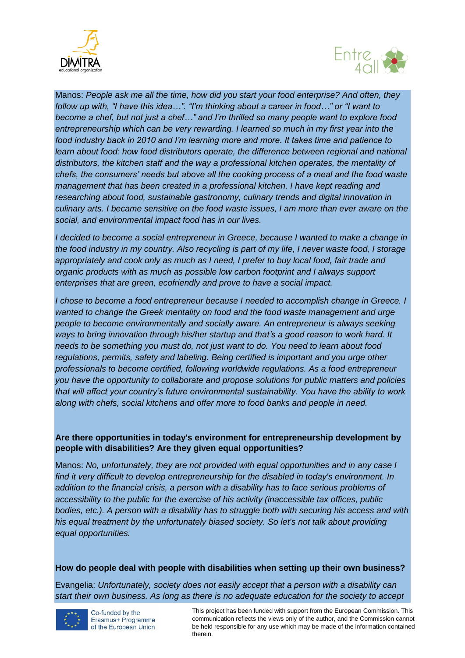



Manos: *People ask me all the time, how did you start your food enterprise? And often, they follow up with, "I have this idea…". "I'm thinking about a career in food…" or "I want to become a chef, but not just a chef…" and I'm thrilled so many people want to explore food entrepreneurship which can be very rewarding. I learned so much in my first year into the food industry back in 2010 and I'm learning more and more. It takes time and patience to*  learn about food: how food distributors operate, the difference between regional and national *distributors, the kitchen staff and the way a professional kitchen operates, the mentality of chefs, the consumers' needs but above all the cooking process of a meal and the food waste management that has been created in a professional kitchen. I have kept reading and researching about food, sustainable gastronomy, culinary trends and digital innovation in culinary arts. I became sensitive on the food waste issues, I am more than ever aware on the social, and environmental impact food has in our lives.*

*I decided to become a social entrepreneur in Greece, because I wanted to make a change in the food industry in my country. Also recycling is part of my life, I never waste food, I storage appropriately and cook only as much as I need, I prefer to buy local food, fair trade and organic products with as much as possible low carbon footprint and I always support enterprises that are green, ecofriendly and prove to have a social impact.*

*I chose to become a food entrepreneur because I needed to accomplish change in Greece. I wanted to change the Greek mentality on food and the food waste management and urge people to become environmentally and socially aware. An entrepreneur is always seeking ways to bring innovation through his/her startup and that's a good reason to work hard. It needs to be something you must do, not just want to do. You need to learn about food regulations, permits, safety and labeling. Being certified is important and you urge other professionals to become certified, following worldwide regulations. As a food entrepreneur you have the opportunity to collaborate and propose solutions for public matters and policies that will affect your country's future environmental sustainability. You have the ability to work along with chefs, social kitchens and offer more to food banks and people in need.*

#### **Are there opportunities in today's environment for entrepreneurship development by people with disabilities? Are they given equal opportunities?**

Manos: *No, unfortunately, they are not provided with equal opportunities and in any case I find it very difficult to develop entrepreneurship for the disabled in today's environment. In addition to the financial crisis, a person with a disability has to face serious problems of accessibility to the public for the exercise of his activity (inaccessible tax offices, public bodies, etc.). A person with a disability has to struggle both with securing his access and with his equal treatment by the unfortunately biased society. So let's not talk about providing equal opportunities.*

#### **How do people deal with people with disabilities when setting up their own business?**

Evangelia: *Unfortunately, society does not easily accept that a person with a disability can start their own business. As long as there is no adequate education for the society to accept* 

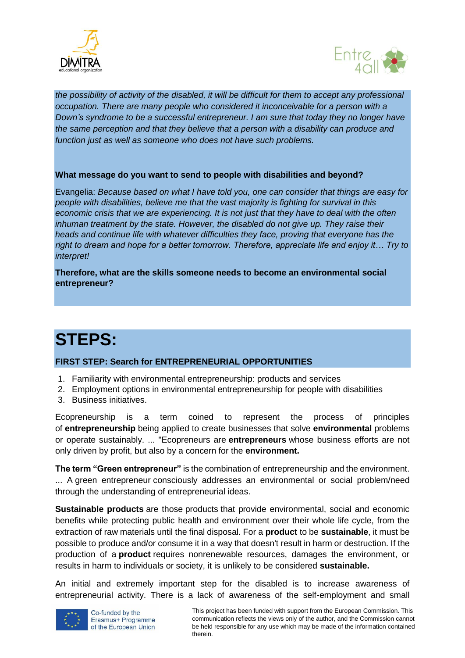



*the possibility of activity of the disabled, it will be difficult for them to accept any professional occupation. There are many people who considered it inconceivable for a person with a Down's syndrome to be a successful entrepreneur. I am sure that today they no longer have the same perception and that they believe that a person with a disability can produce and function just as well as someone who does not have such problems.* 

#### **What message do you want to send to people with disabilities and beyond?**

Evangelia: *Because based on what I have told you, one can consider that things are easy for people with disabilities, believe me that the vast majority is fighting for survival in this economic crisis that we are experiencing. It is not just that they have to deal with the often inhuman treatment by the state. However, the disabled do not give up. They raise their heads and continue life with whatever difficulties they face, proving that everyone has the right to dream and hope for a better tomorrow. Therefore, appreciate life and enjoy it… Try to interpret!*

**Therefore, what are the skills someone needs to become an environmental social entrepreneur?**

## **STEPS:**

#### **FIRST STEP: Search for ENTREPRENEURIAL OPPORTUNITIES**

- 1. Familiarity with environmental entrepreneurship: products and services
- 2. Employment options in environmental entrepreneurship for people with disabilities
- 3. Business initiatives.

Ecopreneurship is a term coined to represent the process of principles of **entrepreneurship** being applied to create businesses that solve **environmental** problems or operate sustainably. ... "Ecopreneurs are **entrepreneurs** whose business efforts are not only driven by profit, but also by a concern for the **environment.** 

**The term "Green entrepreneur"** is the combination of entrepreneurship and the environment. ... A green entrepreneur consciously addresses an environmental or social problem/need through the understanding of entrepreneurial ideas.

**Sustainable products** are those products that provide environmental, social and economic benefits while protecting public health and environment over their whole life cycle, from the extraction of raw materials until the final disposal. For a **product** to be **sustainable**, it must be possible to produce and/or consume it in a way that doesn't result in harm or destruction. If the production of a **product** requires nonrenewable resources, damages the environment, or results in harm to individuals or society, it is unlikely to be considered **sustainable.**

An initial and extremely important step for the disabled is to increase awareness of entrepreneurial activity. There is a lack of awareness of the self-employment and small

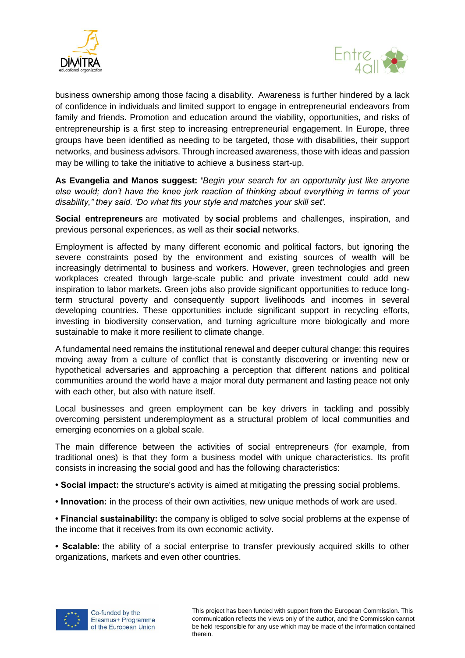



business ownership among those facing a disability. Awareness is further hindered by a lack of confidence in individuals and limited support to engage in entrepreneurial endeavors from family and friends. Promotion and education around the viability, opportunities, and risks of entrepreneurship is a first step to increasing entrepreneurial engagement. In Europe, three groups have been identified as needing to be targeted, those with disabilities, their support networks, and business advisors. Through increased awareness, those with ideas and passion may be willing to take the initiative to achieve a business start-up.

**As Evangelia and Manos suggest: '***Begin your search for an opportunity just like anyone else would; don't have the knee jerk reaction of thinking about everything in terms of your disability," they said. 'Do what fits your style and matches your skill set'.*

**Social entrepreneurs** are motivated by **social** problems and challenges, inspiration, and previous personal experiences, as well as their **social** networks.

Employment is affected by many different economic and political factors, but ignoring the severe constraints posed by the environment and existing sources of wealth will be increasingly detrimental to business and workers. However, green technologies and green workplaces created through large-scale public and private investment could add new inspiration to labor markets. Green jobs also provide significant opportunities to reduce longterm structural poverty and consequently support livelihoods and incomes in several developing countries. These opportunities include significant support in recycling efforts, investing in biodiversity conservation, and turning agriculture more biologically and more sustainable to make it more resilient to climate change.

A fundamental need remains the institutional renewal and deeper cultural change: this requires moving away from a culture of conflict that is constantly discovering or inventing new or hypothetical adversaries and approaching a perception that different nations and political communities around the world have a major moral duty permanent and lasting peace not only with each other, but also with nature itself.

Local businesses and green employment can be key drivers in tackling and possibly overcoming persistent underemployment as a structural problem of local communities and emerging economies on a global scale.

The main difference between the activities of social entrepreneurs (for example, from traditional ones) is that they form a business model with unique characteristics. Its profit consists in increasing the social good and has the following characteristics:

**• Social impact:** the structure's activity is aimed at mitigating the pressing social problems.

**• Innovation:** in the process of their own activities, new unique methods of work are used.

**• Financial sustainability:** the company is obliged to solve social problems at the expense of the income that it receives from its own economic activity.

**• Scalable:** the ability of a social enterprise to transfer previously acquired skills to other organizations, markets and even other countries.

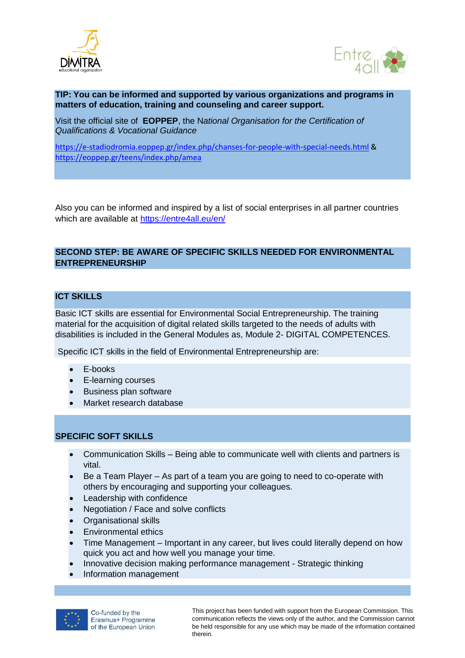



**TIP: You can be informed and supported by various organizations and programs in matters of education, training and counseling and career support.**

Visit the official site of **EOPPEP**, the N*ational Organisation for the Certification of Qualifications & Vocational Guidance*

<https://e-stadiodromia.eoppep.gr/index.php/chanses-for-people-with-special-needs.html> & <https://eoppep.gr/teens/index.php/amea>

Also you can be informed and inspired by a list of social enterprises in all partner countries which are available at<https://entre4all.eu/en/>

#### **SECOND STEP: BE AWARE OF SPECIFIC SKILLS NEEDED FOR ENVIRONMENTAL ENTREPRENEURSHIP**

#### **ICT SKILLS**

Basic ICT skills are essential for Environmental Social Entrepreneurship. The training material for the acquisition of digital related skills targeted to the needs of adults with disabilities is included in the General Modules as, Module 2- DIGITAL COMPETENCES.

Specific ICT skills in the field of Environmental Entrepreneurship are:

- E-books
- E-learning courses
- Business plan software
- Market research database

#### **SPECIFIC SOFT SKILLS**

- Communication Skills Being able to communicate well with clients and partners is vital.
- Be a Team Player As part of a team you are going to need to co-operate with others by encouraging and supporting your colleagues.
- Leadership with confidence
- Negotiation / Face and solve conflicts
- Organisational skills
- Environmental ethics
- Time Management Important in any career, but lives could literally depend on how quick you act and how well you manage your time.
- Innovative decision making performance management Strategic thinking
- Information management

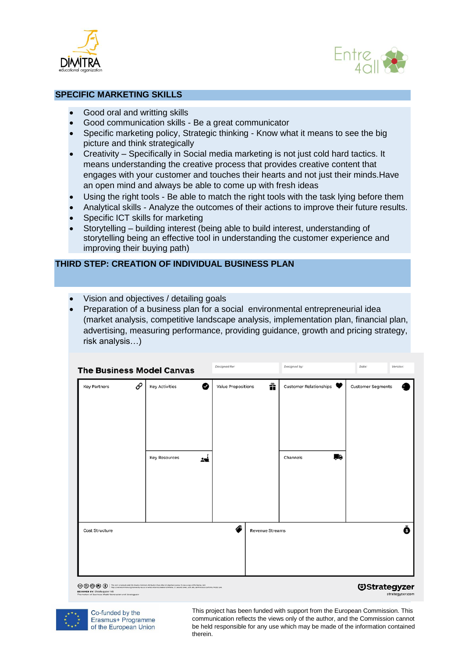



#### **SPECIFIC MARKETING SKILLS**

- Good oral and writting skills
- Good communication skills Be a great communicator
- Specific marketing policy, Strategic thinking Know what it means to see the big picture and think strategically
- Creativity Specifically in [Social media marketing](https://www.jeffbullas.com/social-media-marketing-guide/) is not just cold hard tactics. It means understanding the creative process that provides creative content that engages with your customer and touches their hearts and not just their minds.Have an open mind and always be able to come up with fresh ideas
- Using the right tools Be able to match the right tools with the task lying before them
- Analytical skills Analyze the outcomes of their actions to improve their future results.
- Specific ICT skills for marketing
- Storytelling building interest (being able to build interest, understanding of storytelling being an effective tool in understanding the customer experience and improving their buying path)

#### **THIRD STEP: CREATION OF INDIVIDUAL BUSINESS PLAN**

- Vision and objectives / detailing goals
- Preparation of a business plan for a social environmental entrepreneurial idea (market analysis, competitive landscape analysis, implementation plan, financial plan, advertising, measuring performance, providing guidance, growth and pricing strategy, risk analysis…)

|                                                                                                         | <b>The Business Model Canvas</b> | Designed for:                                                                                                                                                                                                                                                                             |                    | Designed by:    |                                    | Date: | Version:                          |                 |
|---------------------------------------------------------------------------------------------------------|----------------------------------|-------------------------------------------------------------------------------------------------------------------------------------------------------------------------------------------------------------------------------------------------------------------------------------------|--------------------|-----------------|------------------------------------|-------|-----------------------------------|-----------------|
| <b>Key Partners</b>                                                                                     | €                                | ◙<br><b>Key Activities</b><br><b>Key Resources</b><br>ᄽ                                                                                                                                                                                                                                   | Value Propositions | ñ               | Customer Relationships<br>Channels | H,    | <b>Customer Segments</b>          |                 |
|                                                                                                         |                                  |                                                                                                                                                                                                                                                                                           |                    |                 |                                    |       |                                   |                 |
| Cost Structure                                                                                          |                                  |                                                                                                                                                                                                                                                                                           | ∕•                 | Revenue Streams |                                    |       |                                   | Ŏ               |
| ©©©® 0<br><b>DESIGNED BY: Strategyzer AG</b><br>The majors of Business Model Concretion and Strategyzer |                                  | This work is licensed under the Creative Commons Attribution Share Alike 2/2/Jimported License, To view a copy of this license, visit<br>PEQUIUM/WORTPORK/PS/Science/8p nacidi or service artist to Greative Gommons, 171 Second Street, Suite 200, San Francisco, Galifornia, WUSS, USA. |                    |                 |                                    |       | <b><i><u>Ostrategyzer</u></i></b> | strategyzer.com |

SNED BY: Strategyzer AG



Co-funded by the Erasmus+ Programme of the European Union